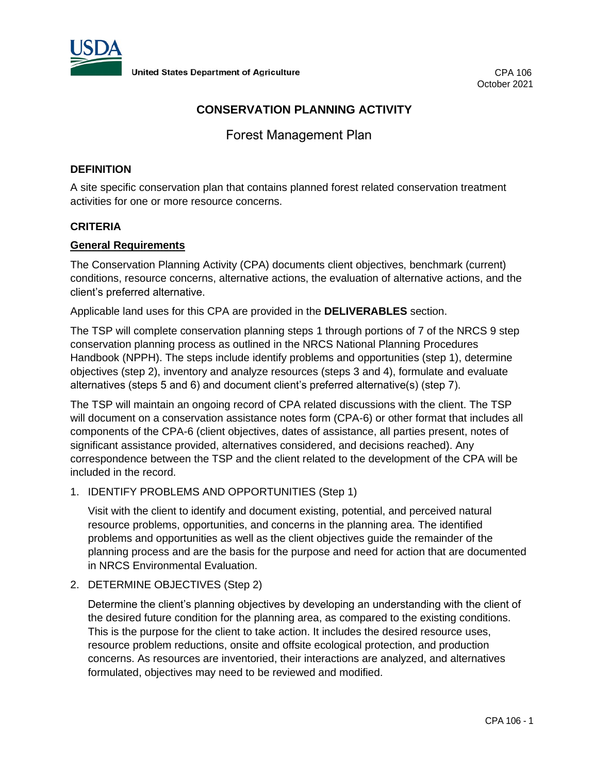

# **CONSERVATION PLANNING ACTIVITY**

Forest Management Plan

### **DEFINITION**

A site specific conservation plan that contains planned forest related conservation treatment activities for one or more resource concerns.

## **CRITERIA**

### **General Requirements**

The Conservation Planning Activity (CPA) documents client objectives, benchmark (current) conditions, resource concerns, alternative actions, the evaluation of alternative actions, and the client's preferred alternative.

Applicable land uses for this CPA are provided in the **DELIVERABLES** section.

The TSP will complete conservation planning steps 1 through portions of 7 of the NRCS 9 step conservation planning process as outlined in the NRCS National Planning Procedures Handbook (NPPH). The steps include identify problems and opportunities (step 1), determine objectives (step 2), inventory and analyze resources (steps 3 and 4), formulate and evaluate alternatives (steps 5 and 6) and document client's preferred alternative(s) (step 7).

The TSP will maintain an ongoing record of CPA related discussions with the client. The TSP will document on a conservation assistance notes form (CPA-6) or other format that includes all components of the CPA-6 (client objectives, dates of assistance, all parties present, notes of significant assistance provided, alternatives considered, and decisions reached). Any correspondence between the TSP and the client related to the development of the CPA will be included in the record.

1. IDENTIFY PROBLEMS AND OPPORTUNITIES (Step 1)

Visit with the client to identify and document existing, potential, and perceived natural resource problems, opportunities, and concerns in the planning area. The identified problems and opportunities as well as the client objectives guide the remainder of the planning process and are the basis for the purpose and need for action that are documented in NRCS Environmental Evaluation.

2. DETERMINE OBJECTIVES (Step 2)

Determine the client's planning objectives by developing an understanding with the client of the desired future condition for the planning area, as compared to the existing conditions. This is the purpose for the client to take action. It includes the desired resource uses, resource problem reductions, onsite and offsite ecological protection, and production concerns. As resources are inventoried, their interactions are analyzed, and alternatives formulated, objectives may need to be reviewed and modified.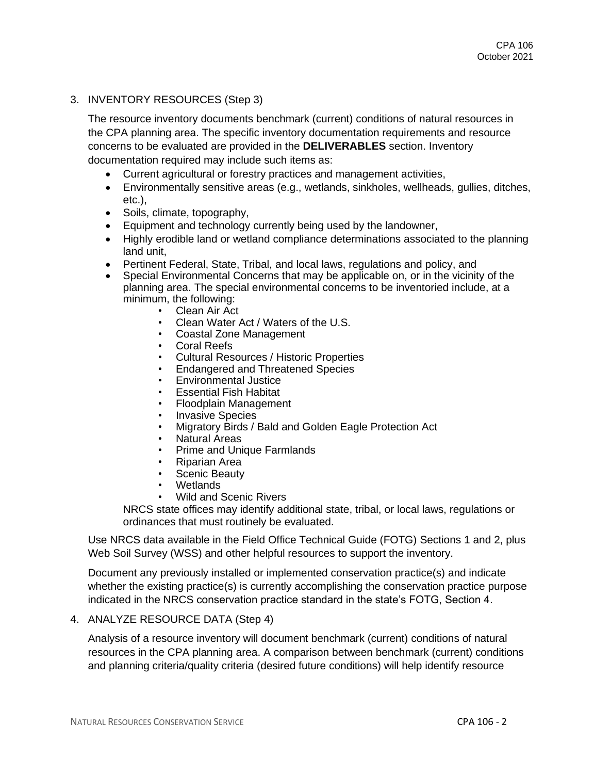### 3. INVENTORY RESOURCES (Step 3)

The resource inventory documents benchmark (current) conditions of natural resources in the CPA planning area. The specific inventory documentation requirements and resource concerns to be evaluated are provided in the **DELIVERABLES** section. Inventory documentation required may include such items as:

- Current agricultural or forestry practices and management activities,
- Environmentally sensitive areas (e.g., wetlands, sinkholes, wellheads, gullies, ditches, etc.),
- Soils, climate, topography,
- Equipment and technology currently being used by the landowner,
- Highly erodible land or wetland compliance determinations associated to the planning land unit,
- Pertinent Federal, State, Tribal, and local laws, regulations and policy, and
- Special Environmental Concerns that may be applicable on, or in the vicinity of the planning area. The special environmental concerns to be inventoried include, at a minimum, the following:
	- Clean Air Act
	- Clean Water Act / Waters of the U.S.
	- Coastal Zone Management
	- Coral Reefs
	- Cultural Resources / Historic Properties
	- Endangered and Threatened Species
	- Environmental Justice
	- **Essential Fish Habitat**
	- Floodplain Management
	- Invasive Species
	- Migratory Birds / Bald and Golden Eagle Protection Act
	- Natural Areas
	- Prime and Unique Farmlands
	- Riparian Area
	- Scenic Beauty
	- **Wetlands**
	- Wild and Scenic Rivers

NRCS state offices may identify additional state, tribal, or local laws, regulations or ordinances that must routinely be evaluated.

Use NRCS data available in the Field Office Technical Guide (FOTG) Sections 1 and 2, plus Web Soil Survey (WSS) and other helpful resources to support the inventory.

Document any previously installed or implemented conservation practice(s) and indicate whether the existing practice(s) is currently accomplishing the conservation practice purpose indicated in the NRCS conservation practice standard in the state's FOTG, Section 4.

### 4. ANALYZE RESOURCE DATA (Step 4)

Analysis of a resource inventory will document benchmark (current) conditions of natural resources in the CPA planning area. A comparison between benchmark (current) conditions and planning criteria/quality criteria (desired future conditions) will help identify resource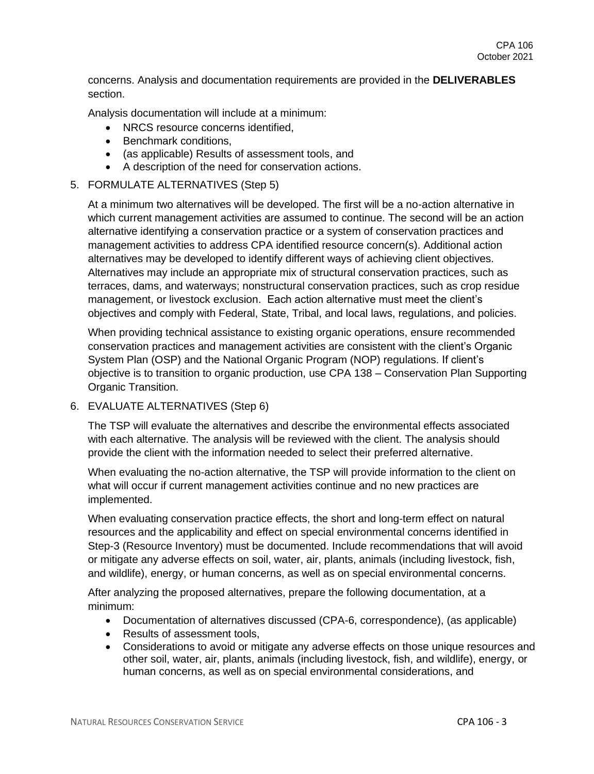concerns. Analysis and documentation requirements are provided in the **DELIVERABLES** section.

Analysis documentation will include at a minimum:

- NRCS resource concerns identified.
- Benchmark conditions,
- (as applicable) Results of assessment tools, and
- A description of the need for conservation actions.

## 5. FORMULATE ALTERNATIVES (Step 5)

At a minimum two alternatives will be developed. The first will be a no-action alternative in which current management activities are assumed to continue. The second will be an action alternative identifying a conservation practice or a system of conservation practices and management activities to address CPA identified resource concern(s). Additional action alternatives may be developed to identify different ways of achieving client objectives. Alternatives may include an appropriate mix of structural conservation practices, such as terraces, dams, and waterways; nonstructural conservation practices, such as crop residue management, or livestock exclusion. Each action alternative must meet the client's objectives and comply with Federal, State, Tribal, and local laws, regulations, and policies.

When providing technical assistance to existing organic operations, ensure recommended conservation practices and management activities are consistent with the client's Organic System Plan (OSP) and the National Organic Program (NOP) regulations. If client's objective is to transition to organic production, use CPA 138 – Conservation Plan Supporting Organic Transition.

## 6. EVALUATE ALTERNATIVES (Step 6)

The TSP will evaluate the alternatives and describe the environmental effects associated with each alternative. The analysis will be reviewed with the client. The analysis should provide the client with the information needed to select their preferred alternative.

When evaluating the no-action alternative, the TSP will provide information to the client on what will occur if current management activities continue and no new practices are implemented.

When evaluating conservation practice effects, the short and long-term effect on natural resources and the applicability and effect on special environmental concerns identified in Step-3 (Resource Inventory) must be documented. Include recommendations that will avoid or mitigate any adverse effects on soil, water, air, plants, animals (including livestock, fish, and wildlife), energy, or human concerns, as well as on special environmental concerns.

After analyzing the proposed alternatives, prepare the following documentation, at a minimum:

- Documentation of alternatives discussed (CPA-6, correspondence), (as applicable)
- Results of assessment tools,
- Considerations to avoid or mitigate any adverse effects on those unique resources and other soil, water, air, plants, animals (including livestock, fish, and wildlife), energy, or human concerns, as well as on special environmental considerations, and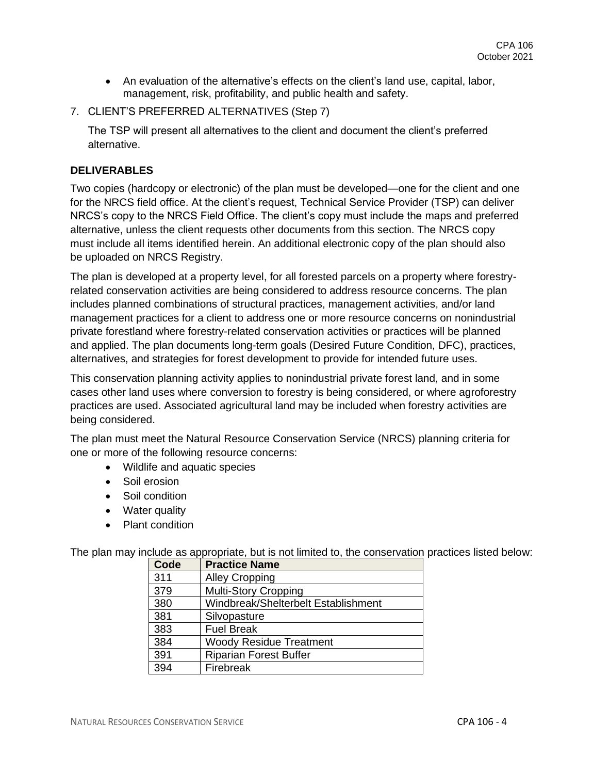- An evaluation of the alternative's effects on the client's land use, capital, labor, management, risk, profitability, and public health and safety.
- 7. CLIENT'S PREFERRED ALTERNATIVES (Step 7)

The TSP will present all alternatives to the client and document the client's preferred alternative.

### **DELIVERABLES**

Two copies (hardcopy or electronic) of the plan must be developed—one for the client and one for the NRCS field office. At the client's request, Technical Service Provider (TSP) can deliver NRCS's copy to the NRCS Field Office. The client's copy must include the maps and preferred alternative, unless the client requests other documents from this section. The NRCS copy must include all items identified herein. An additional electronic copy of the plan should also be uploaded on NRCS Registry.

The plan is developed at a property level, for all forested parcels on a property where forestryrelated conservation activities are being considered to address resource concerns. The plan includes planned combinations of structural practices, management activities, and/or land management practices for a client to address one or more resource concerns on nonindustrial private forestland where forestry-related conservation activities or practices will be planned and applied. The plan documents long-term goals (Desired Future Condition, DFC), practices, alternatives, and strategies for forest development to provide for intended future uses.

This conservation planning activity applies to nonindustrial private forest land, and in some cases other land uses where conversion to forestry is being considered, or where agroforestry practices are used. Associated agricultural land may be included when forestry activities are being considered.

The plan must meet the Natural Resource Conservation Service (NRCS) planning criteria for one or more of the following resource concerns:

- Wildlife and aquatic species
- Soil erosion
- Soil condition
- Water quality
- Plant condition

The plan may include as appropriate, but is not limited to, the conservation practices listed below:

| Code | <b>Practice Name</b>                |
|------|-------------------------------------|
| 311  | <b>Alley Cropping</b>               |
| 379  | <b>Multi-Story Cropping</b>         |
| 380  | Windbreak/Shelterbelt Establishment |
| 381  | Silvopasture                        |
| 383  | <b>Fuel Break</b>                   |
| 384  | <b>Woody Residue Treatment</b>      |
| 391  | <b>Riparian Forest Buffer</b>       |
| 394  | Firebreak                           |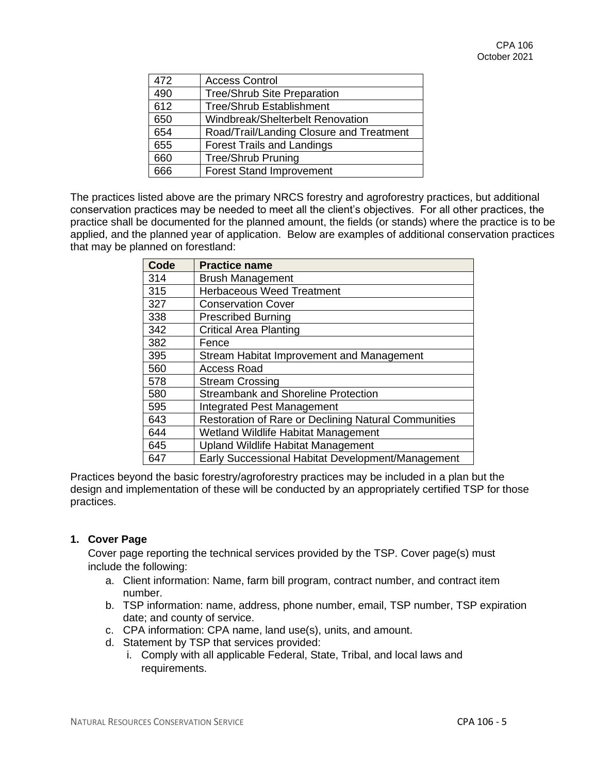| 472 | <b>Access Control</b>                    |
|-----|------------------------------------------|
| 490 | <b>Tree/Shrub Site Preparation</b>       |
| 612 | <b>Tree/Shrub Establishment</b>          |
| 650 | Windbreak/Shelterbelt Renovation         |
| 654 | Road/Trail/Landing Closure and Treatment |
| 655 | <b>Forest Trails and Landings</b>        |
| 660 | <b>Tree/Shrub Pruning</b>                |
| 666 | <b>Forest Stand Improvement</b>          |

The practices listed above are the primary NRCS forestry and agroforestry practices, but additional conservation practices may be needed to meet all the client's objectives. For all other practices, the practice shall be documented for the planned amount, the fields (or stands) where the practice is to be applied, and the planned year of application. Below are examples of additional conservation practices that may be planned on forestland:

| <b>Code</b> | <b>Practice name</b>                                 |
|-------------|------------------------------------------------------|
| 314         | <b>Brush Management</b>                              |
| 315         | <b>Herbaceous Weed Treatment</b>                     |
| 327         | <b>Conservation Cover</b>                            |
| 338         | <b>Prescribed Burning</b>                            |
| 342         | <b>Critical Area Planting</b>                        |
| 382         | Fence                                                |
| 395         | Stream Habitat Improvement and Management            |
| 560         | <b>Access Road</b>                                   |
| 578         | <b>Stream Crossing</b>                               |
| 580         | <b>Streambank and Shoreline Protection</b>           |
| 595         | Integrated Pest Management                           |
| 643         | Restoration of Rare or Declining Natural Communities |
| 644         | Wetland Wildlife Habitat Management                  |
| 645         | <b>Upland Wildlife Habitat Management</b>            |
| 647         | Early Successional Habitat Development/Management    |

Practices beyond the basic forestry/agroforestry practices may be included in a plan but the design and implementation of these will be conducted by an appropriately certified TSP for those practices.

## **1. Cover Page**

Cover page reporting the technical services provided by the TSP. Cover page(s) must include the following:

- a. Client information: Name, farm bill program, contract number, and contract item number.
- b. TSP information: name, address, phone number, email, TSP number, TSP expiration date; and county of service.
- c. CPA information: CPA name, land use(s), units, and amount.
- d. Statement by TSP that services provided:
	- i. Comply with all applicable Federal, State, Tribal, and local laws and requirements.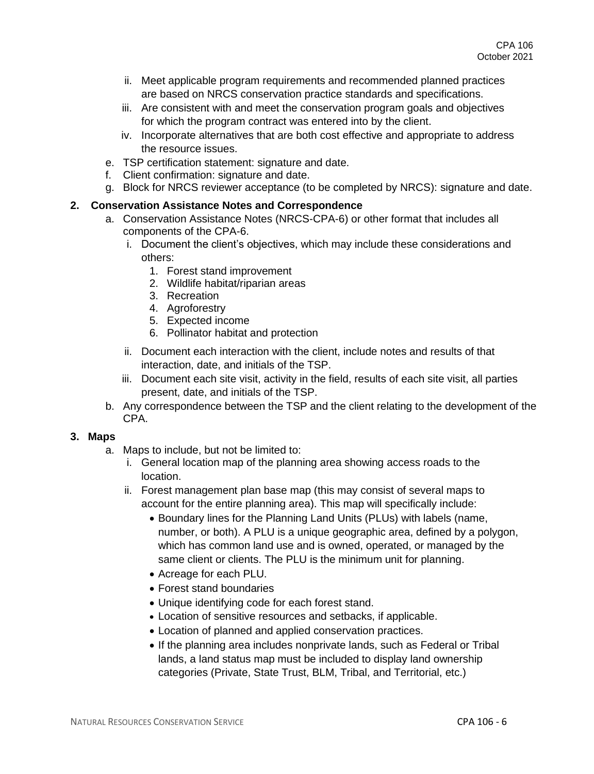- ii. Meet applicable program requirements and recommended planned practices are based on NRCS conservation practice standards and specifications.
- iii. Are consistent with and meet the conservation program goals and objectives for which the program contract was entered into by the client.
- iv. Incorporate alternatives that are both cost effective and appropriate to address the resource issues.
- e. TSP certification statement: signature and date.
- f. Client confirmation: signature and date.
- g. Block for NRCS reviewer acceptance (to be completed by NRCS): signature and date.

## **2. Conservation Assistance Notes and Correspondence**

- a. Conservation Assistance Notes (NRCS-CPA-6) or other format that includes all components of the CPA-6.
	- i. Document the client's objectives, which may include these considerations and others:
		- 1. Forest stand improvement
		- 2. Wildlife habitat/riparian areas
		- 3. Recreation
		- 4. Agroforestry
		- 5. Expected income
		- 6. Pollinator habitat and protection
	- ii. Document each interaction with the client, include notes and results of that interaction, date, and initials of the TSP.
	- iii. Document each site visit, activity in the field, results of each site visit, all parties present, date, and initials of the TSP.
- b. Any correspondence between the TSP and the client relating to the development of the CPA.

### **3. Maps**

- a. Maps to include, but not be limited to:
	- i. General location map of the planning area showing access roads to the location.
	- ii. Forest management plan base map (this may consist of several maps to account for the entire planning area). This map will specifically include:
		- Boundary lines for the Planning Land Units (PLUs) with labels (name, number, or both). A PLU is a unique geographic area, defined by a polygon, which has common land use and is owned, operated, or managed by the same client or clients. The PLU is the minimum unit for planning.
		- Acreage for each PLU.
		- Forest stand boundaries
		- Unique identifying code for each forest stand.
		- Location of sensitive resources and setbacks, if applicable.
		- Location of planned and applied conservation practices.
		- If the planning area includes nonprivate lands, such as Federal or Tribal lands, a land status map must be included to display land ownership categories (Private, State Trust, BLM, Tribal, and Territorial, etc.)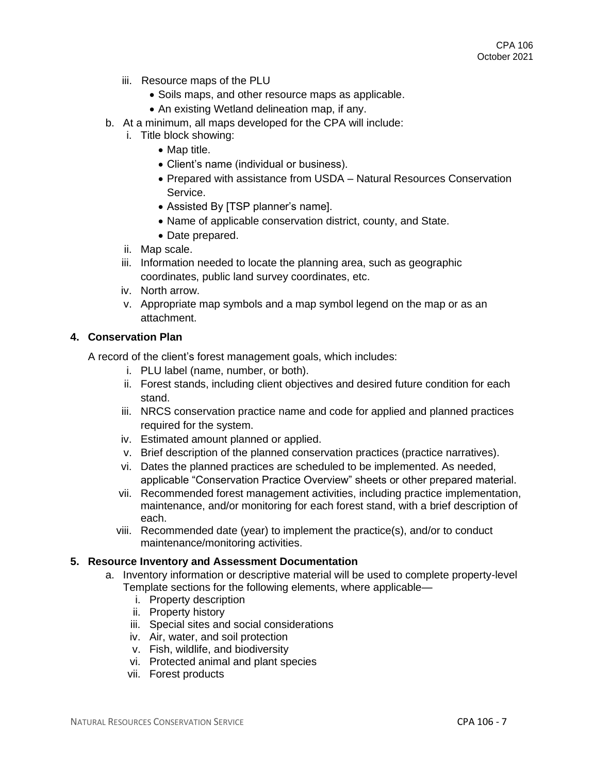- iii. Resource maps of the PLU
	- Soils maps, and other resource maps as applicable.
	- An existing Wetland delineation map, if any.
- b. At a minimum, all maps developed for the CPA will include:
	- i. Title block showing:
		- Map title.
		- Client's name (individual or business).
		- Prepared with assistance from USDA Natural Resources Conservation Service.
		- Assisted By [TSP planner's name].
		- Name of applicable conservation district, county, and State.
		- Date prepared.
	- ii. Map scale.
	- iii. Information needed to locate the planning area, such as geographic coordinates, public land survey coordinates, etc.
	- iv. North arrow.
	- v. Appropriate map symbols and a map symbol legend on the map or as an attachment.

#### **4. Conservation Plan**

A record of the client's forest management goals, which includes:

- i. PLU label (name, number, or both).
- ii. Forest stands, including client objectives and desired future condition for each stand.
- iii. NRCS conservation practice name and code for applied and planned practices required for the system.
- iv. Estimated amount planned or applied.
- v. Brief description of the planned conservation practices (practice narratives).
- vi. Dates the planned practices are scheduled to be implemented. As needed, applicable "Conservation Practice Overview" sheets or other prepared material.
- vii. Recommended forest management activities, including practice implementation, maintenance, and/or monitoring for each forest stand, with a brief description of each.
- viii. Recommended date (year) to implement the practice(s), and/or to conduct maintenance/monitoring activities.

### **5. Resource Inventory and Assessment Documentation**

- a. Inventory information or descriptive material will be used to complete property-level Template sections for the following elements, where applicable
	- i. Property description
	- ii. Property history
	- iii. Special sites and social considerations
	- iv. Air, water, and soil protection
	- v. Fish, wildlife, and biodiversity
	- vi. Protected animal and plant species
	- vii. Forest products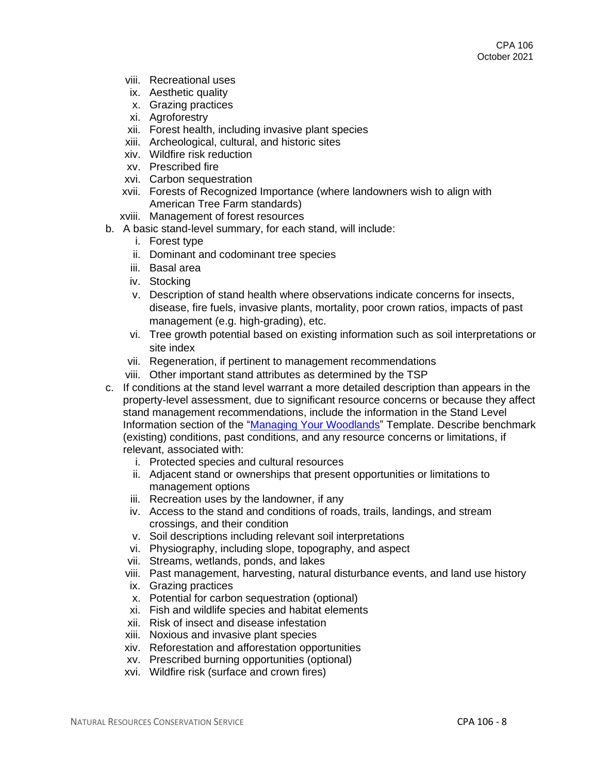- viii. Recreational uses
- ix. Aesthetic quality
- x. Grazing practices
- xi. Agroforestry
- xii. Forest health, including invasive plant species
- xiii. Archeological, cultural, and historic sites
- xiv. Wildfire risk reduction
- xv. Prescribed fire
- xvi. Carbon sequestration
- xvii. Forests of Recognized Importance (where landowners wish to align with American Tree Farm standards)
- xviii. Management of forest resources
- b. A basic stand-level summary, for each stand, will include:
	- i. Forest type
	- ii. Dominant and codominant tree species
	- iii. Basal area
	- iv. Stocking
	- v. Description of stand health where observations indicate concerns for insects, disease, fire fuels, invasive plants, mortality, poor crown ratios, impacts of past management (e.g. high-grading), etc.
	- vi. Tree growth potential based on existing information such as soil interpretations or site index
	- vii. Regeneration, if pertinent to management recommendations
	- viii. Other important stand attributes as determined by the TSP
- c. If conditions at the stand level warrant a more detailed description than appears in the property-level assessment, due to significant resource concerns or because they affect stand management recommendations, include the information in the Stand Level Information section of the ["Managing Your Woodlands"](https://www.nrcs.usda.gov/wps/PA_NRCSConsumption/download?cid=nrcseprd1361475&ext=pdf) Template. Describe benchmark (existing) conditions, past conditions, and any resource concerns or limitations, if relevant, associated with:
	- i. Protected species and cultural resources
	- ii. Adjacent stand or ownerships that present opportunities or limitations to management options
	- iii. Recreation uses by the landowner, if any
	- iv. Access to the stand and conditions of roads, trails, landings, and stream crossings, and their condition
	- v. Soil descriptions including relevant soil interpretations
	- vi. Physiography, including slope, topography, and aspect
	- vii. Streams, wetlands, ponds, and lakes
	- viii. Past management, harvesting, natural disturbance events, and land use history
	- ix. Grazing practices
	- x. Potential for carbon sequestration (optional)
	- xi. Fish and wildlife species and habitat elements
	- xii. Risk of insect and disease infestation
	- xiii. Noxious and invasive plant species
	- xiv. Reforestation and afforestation opportunities
	- xv. Prescribed burning opportunities (optional)
	- xvi. Wildfire risk (surface and crown fires)